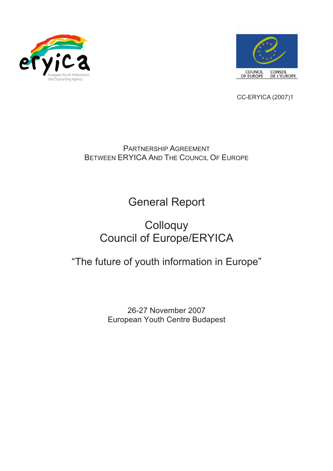



CC-ERYICA (2007)1

PARTNERSHIP AGREEMENT BETWEEN ERYICA AND THE COUNCIL OF EUROPE

General Report

# **Colloquy** Council of Europe/ERYICA

# "The future of youth information in Europe"

26-27 November 2007 European Youth Centre Budapest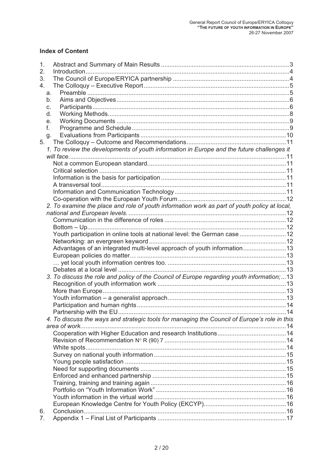# **Index of Content**

| 1.                                                                                           |  |
|----------------------------------------------------------------------------------------------|--|
| 2.                                                                                           |  |
| 3.                                                                                           |  |
| 4.                                                                                           |  |
| a.                                                                                           |  |
| b.                                                                                           |  |
| c.                                                                                           |  |
| d.                                                                                           |  |
| е.                                                                                           |  |
| f.                                                                                           |  |
| g.                                                                                           |  |
| 5.                                                                                           |  |
| 1. To review the developments of youth information in Europe and the future challenges it    |  |
|                                                                                              |  |
|                                                                                              |  |
|                                                                                              |  |
|                                                                                              |  |
|                                                                                              |  |
|                                                                                              |  |
|                                                                                              |  |
| 2. To examine the place and role of youth information work as part of youth policy at local, |  |
|                                                                                              |  |
|                                                                                              |  |
|                                                                                              |  |
|                                                                                              |  |
| Youth participation in online tools at national level: the German case  12                   |  |
|                                                                                              |  |
| Advantages of an integrated multi-level approach of youth information 13                     |  |
|                                                                                              |  |
|                                                                                              |  |
|                                                                                              |  |
| 3. To discuss the role and policy of the Council of Europe regarding youth information;13    |  |
|                                                                                              |  |
|                                                                                              |  |
|                                                                                              |  |
|                                                                                              |  |
|                                                                                              |  |
| 4. To discuss the ways and strategic tools for managing the Council of Europe's role in this |  |
|                                                                                              |  |
|                                                                                              |  |
|                                                                                              |  |
|                                                                                              |  |
|                                                                                              |  |
|                                                                                              |  |
|                                                                                              |  |
|                                                                                              |  |
|                                                                                              |  |
|                                                                                              |  |
|                                                                                              |  |
|                                                                                              |  |
| 6.                                                                                           |  |
| 7.                                                                                           |  |
|                                                                                              |  |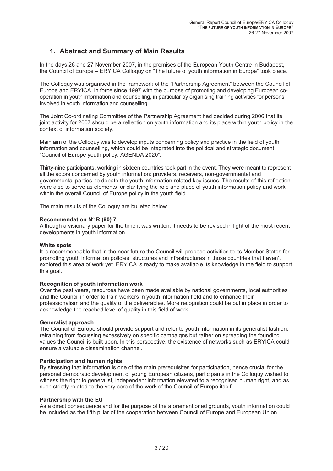# **1. Abstract and Summary of Main Results**

In the days 26 and 27 November 2007, in the premises of the European Youth Centre in Budapest, the Council of Europe – ERYICA Colloquy on "The future of youth information in Europe" took place.

The Colloquy was organised in the framework of the "Partnership Agreement" between the Council of Europe and ERYICA, in force since 1997 with the purpose of promoting and developing European cooperation in youth information and counselling, in particular by organising training activities for persons involved in youth information and counselling.

The Joint Co-ordinating Committee of the Partnership Agreement had decided during 2006 that its joint activity for 2007 should be a reflection on youth information and its place within youth policy in the context of information society.

Main aim of the Colloquy was to develop inputs concerning policy and practice in the field of youth information and counselling, which could be integrated into the political and strategic document "Council of Europe youth policy: AGENDA 2020".

Thirty-nine participants, working in sixteen countries took part in the event. They were meant to represent all the actors concerned by youth information: providers, receivers, non-governmental and<br>governmental parties, to debate the youth information-related key issues. The results of this reflection<br>were also to serve as eleme

The main results of the Colloquy are bulleted below.

### **Recommendation N**° **R (90) 7**

Although a visionary paper for the time it was written, it needs to be revised in light of the most recent developments in youth information.

White spots<br>It is recommendable that in the near future the Council will propose activities to its Member States for promoting youth information policies, structures and infrastructures in those countries that haven't explored this area of work yet. ERYICA is ready to make available its knowledge in the field to support this goal.

**Recognition of youth information work**<br>Over the past years, resources have been made available by national governments, local authorities<br>and the Council in order to train workers in youth information field and to enhance acknowledge the reached level of quality in this field of work.

### **Generalist approach**

The Council of Europe should provide support and refer to youth information in its generalist fashion, refraining from focussing excessively on specific campaigns but rather on spreading the founding<br>values the Council is built upon. In this perspective, the existence of networks such as ERYICA could<br>ensure a valuable disse

**Participation and human rights** personal democratic development of young European citizens, participants in the Colloquy wished to witness the right to generalist, independent information elevated to a recognised human right, and as such strictly related to the very core of the work of the Council of Europe itself.

Partnership with the EU<br>As a direct consequence and for the purpose of the aforementioned grounds, youth information could<br>be included as the fifth pillar of the cooperation between Council of Europe and European Union.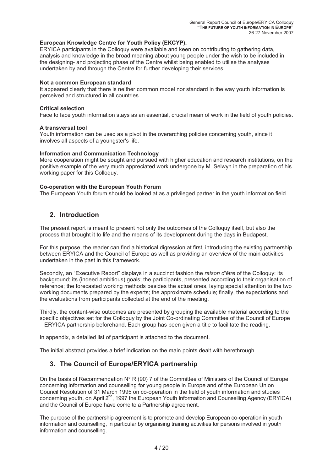### **European Knowledge Centre for Youth Policy (EKCYP).**

ERYICA participants in the Colloquy were available and keen on contributing to gathering data, analysis and knowledge in the broad meaning about young people under the wish to be included in the designing- and projecting phase of the Centre whilst being enabled to utilise the analyses undertaken by and through the Centre for further developing their services.

**Not a common European standard**<br>It appeared clearly that there is neither common model nor standard in the way youth information is perceived and structured in all countries.

**Critical selection**<br>Face to face youth information stays as an essential, crucial mean of work in the field of youth policies.

**A transversal tool** Youth information can be used as a pivot in the overarching policies concerning youth, since it involves all aspects of a youngster's life.

### **Information and Communication Technology**

More cooperation might be sought and pursued with higher education and research institutions, on the positive example of the very much appreciated work undergone by M. Selwyn in the preparation of his working paper for this Colloquy.

**Co-operation with the European Youth Forum** The European Youth forum should be looked at as a privileged partner in the youth information field.

# **2. Introduction**

The present report is meant to present not only the outcomes of the Colloquy itself, but also the process that brought it to life and the means of its development during the days in Budapest.

For this purpose, the reader can find a historical digression at first, introducing the existing partnership between ERYICA and the Council of Europe as well as providing an overview of the main activities undertaken in th

Secondly, an "Executive Report" displays in a succinct fashion the *raison d'être* of the Colloquy: its background; its (indeed ambitious) goals; the participants, presented according to their organisation of reference; the forecasted working methods besides the actual ones, laying special attention to the two working documents prepared by the experts; the approximate schedule; finally, the expectations and the evaluations from participants collected at the end of the meeting.

Thirdly, the content-wise outcomes are presented by grouping the available material according to the specific objectives set for the Colloquy by the Joint Co-ordinating Committee of the Council of Europe – ERYICA partnership beforehand. Each group has been given a title to facilitate the reading.

In appendix, a detailed list of participant is attached to the document.

The initial abstract provides a brief indication on the main points dealt with herethrough.

# **3. The Council of Europe/ERYICA partnership**

On the basis of Recommendation  $N^{\circ}$  R (90) 7 of the Committee of Ministers of the Council of Europe concerning information and counselling for young people in Europe and of the European Union<br>Council Resolution of 31 March 1995 on co-operation in the field of youth information and studies<br>concerning youth, on April 2<sup>nd</sup> concerning youth, on April 2<sup>nd</sup>, 1997 the European Youth Information and Counselling Agency (ERYICA) and the Council of Europe have come to a Partnership agreement.

The purpose of the partnership agreement is to promote and develop European co-operation in youth information and counselling, in particular by organising training activities for persons involved in youth information and counselling.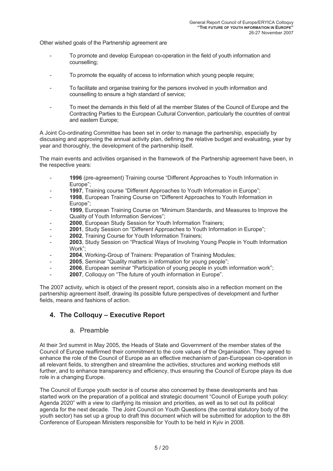Other wished goals of the Partnership agreement are

- To promote and develop European co-operation in the field of youth information and counselling;
- To promote the equality of access to information which young people require;
- To facilitate and organise training for the persons involved in youth information and counselling to ensure a high standard of service;
- To meet the demands in this field of all the member States of the Council of Europe and the Contracting Parties to the European Cultural Convention, particularly the countries of central and eastern Europe;

A Joint Co-ordinating Committee has been set in order to manage the partnership, especially by discussing and approving the annual activity plan, defining the relative budget and evaluating, year by vear and thoroughly, th

The main events and activities organised in the framework of the Partnership agreement have been, in the respective years:

- **<sup>1996</sup>** (pre-agreement) Training course "Different Approaches to Youth Information in Europe";
- 
- **1997**, Training course "Different Approaches to Youth Information in Europe";<br>**1998**, European Training Course on "Different Approaches to Youth Information in Europe":
- **1999**, European Training Course on "Minimum Standards, and Measures to Improve the Quality of Youth Information Services";
- 
- 2000, European Study Session for Youth Information Trainers;<br>
2001, Study Session on "Different Approaches to Youth Information in Europe";<br>
2002, Training Course for Youth Information Trainers;
- 
- **<sup>2002</sup>**, Training Course for Youth Information Trainers; **<sup>2003</sup>**, Study Session on "Practical Ways of Involving Young People in Youth Information Work";
- **<sup>2004</sup>**, Working-Group of Trainers: Preparation of Training Modules; **<sup>2005</sup>**, Seminar "Quality matters in information for young people";
- 
- **<sup>2006</sup>**, European seminar "Participation of young people in youth information work"; **<sup>2007</sup>**, Colloquy on "The future of youth information in Europe".
- 

The 2007 activity, which is object of the present report, consists also in a reflection moment on the partnership agreement itself, drawing its possible future perspectives of development and further fields, means and fashions of action.

# **4. The Colloquy – Executive Report**

### a. Preamble

At their 3rd summit in May 2005, the Heads of State and Government of the member states of the Council of Europe reaffirmed their commitment to the core values of the Organisation. They agreed to enhance the role of the Council of Europe as an effective mechanism of pan-European co-operation in all relevant fields, to strengthen and streamline the activities, structures and working methods still further, and to enhance transparency and efficiency, thus ensuring the Council of Europe plays its due role in a changi

The Council of Europe youth sector is of course also concerned by these developments and has started work on the preparation of a political and strategic document "Council of Europe youth policy: Agenda 2020" with a view to clarifying its mission and priorities, as well as to set out its political agenda for the next decade. The Joint Council on Youth Questions (the central statutory body of the youth sector) has set up a group to draft this document which will be submitted for adoption to the 8th Conference of Euro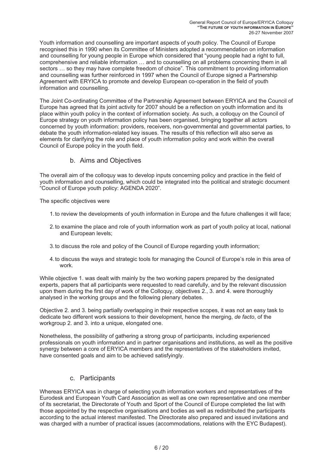Youth information and counselling are important aspects of youth policy. The Council of Europe<br>recognised this in 1990 when its Committee of Ministers adopted a recommendation on information<br>and counselling for young peopl comprehensive and reliable information ... and to counselling on all problems concerning them in all sectors ... so they may have complete freedom of choice". This commitment to providing information and counselling was fu Agreement with ERYICA to promote and develop European co-operation in the field of youth information and counselling.

The Joint Co-ordinating Committee of the Partnership Agreement between ERYICA and the Council of Europe has agreed that its joint activity for 2007 should be a reflection on youth information and its place within youth policy in the context of information society. As such, a colloquy on the Council of Europe strategy on youth information policy has been organised, bringing together all actors concerned by youth information: providers, receivers, non-governmental and governmental parties, to debate the youth information-related key issues. The results of this reflection will also serve as elements for clarifying the role and place of youth information policy and work within the overall Council of Europe policy

# b. Aims and Objectives

The overall aim of the colloquy was to develop inputs concerning policy and practice in the field of youth information and counselling, which could be integrated into the political and strategic document "Council of Europe youth policy: AGENDA 2020".

The specific objectives were

- 1.to review the developments of youth information in Europe and the future challenges it will face;
- 2.to examine the place and role of youth information work as part of youth policy at local, national and European levels;
- 3.to discuss the role and policy of the Council of Europe regarding youth information;
- 4.to discuss the ways and strategic tools for managing the Council of Europe's role in this area of work.

While objective 1. was dealt with mainly by the two working papers prepared by the designated experts, papers that all participants were requested to read carefully, and by the relevant discussion<br>upon them during the first day of work of the Colloquy, objectives 2., 3. and 4. were thoroughly<br>analysed in the workin

Objective 2. and 3. being partially overlapping in their respective scopes, it was not an easy task to dedicate two different work sessions to their development, hence the merging, *de facto*, of the workgroup 2. and 3. into a unique, elongated one.

Nonetheless, the possibility of gathering a strong group of participants, including experienced<br>professionals on youth information and in partner organisations and institutions, as well as the positive<br>synergy between a co have consented goals and aim to be achieved satisfyingly.

### c. Participants

Whereas ERYICA was in charge of selecting youth information workers and representatives of the Eurodesk and European Youth Card Association as well as one own representative and one member of its secretariat, the Directorate of Youth and Sport of the Council of Europe completed the list with<br>those appointed by the respective organisations and bodies as well as redistributed the participants<br>according to the was charged with a number of practical issues (accommodations, relations with the EYC Budapest).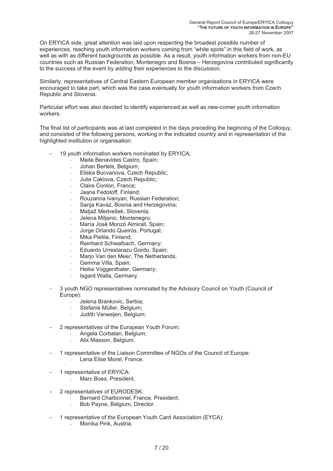On ERYICA side, great attention was laid upon respecting the broadest possible number of experiences, reaching youth information workers coming from "white spots" in this field of work, as well as with as different backgrounds as possible. As a result, youth information workers from non-EU countries such as Russian Federation, Montenegro and Bosnia – Herzegovina contributed significantly to the success of the event by adding their experiences to the discussion.

Similarly, representatives of Central Eastern European member organisations in ERYICA were encouraged to take part, which was the case eventually for youth information workers from Czech Republic and Slovenia.

Particular effort was also devoted to identify experienced as well as new-comer youth information workers.

The final list of participants was at last completed in the days preceding the beginning of the Colloquy, and consisted of the following persons, working in the indicated country and in representation of the highlighted in

- 19 youth information workers nominated by ERYICA;
	- Maite Benavides Castro, Spain;
	- Johan Bertels, Belgium;
	- Eliska Bucvanova, Czech Republic;
	- Julie Cakiova, Czech Republic;
	- Claire Conlon, France:
	- Jaana Fedotoff, Finland;
	- Rouzanna Ivanyan, Russian Federation;
	- Sanja Kavaz, Bosnia and Herzegovina;
	- Matjaž Medvešek, Slovenia;
	- Jelena Miljanic, Montenegro;
	- María José Monzó Almirall, Spain;
	- Jorge Orlando Queirós, Portugal;
	- Mika Pietila, Finland:
	- Reinhard Schwalbach, Germany;
	- Eduardo Urrestarazu Gordo, Spain;
	- Marjo Van den Meer, The Netherlands;
	- Gemma Villa, Spain;
	- Heike Voggenthaler, Germany;
	- Isgard Walla, Germany.
- 3 youth NGO representatives nominated by the Advisory Council on Youth (Council of Europe):
	- Jelena Brankovic, Serbia;
	- Stefanie Müller, Belgium;
	- Judith Verweijen, Belgium;
- 2 representatives of the European Youth Forum:
	- Angela Corbalan, Belgium;
	- Alix Masson, Belgium.
- 1 representative of the Liaison Committee of NGOs of the Council of Europe:
	- Lena Elise Morel, France.
- 1 representative of ERYICA:
	- Marc Boes, President.
- 2 representatives of EURODESK:
	- Bernard Charbonnel, France, President;
	- Bob Payne, Belgium, Director.
- 1 representative of the European Youth Card Association (EYCA):
	- Monika Pink, Austria.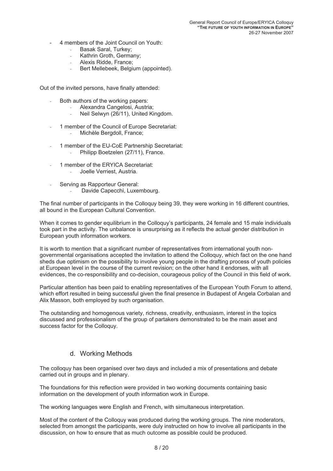- 4 members of the Joint Council on Youth:
	- Basak Saral, Turkey;
	- Kathrin Groth, Germany;
	- Alexis Ridde, France;
	- Bert Mellebeek, Belgium (appointed).

Out of the invited persons, have finally attended:

- Both authors of the working papers:
	- Alexandra Cangelosi, Austria;
	- Neil Selwyn (26/11), United Kingdom.
- 1 member of the Council of Europe Secretariat: - Michèle Bergdoll, France;
- 1 member of the EU-CoE Partnership Secretariat: Philipp Boetzelen (27/11), France.
- 1 member of the ERYICA Secretariat:
	- Joelle Verriest, Austria.
- Serving as Rapporteur General:
	- Davide Capecchi, Luxembourg.

The final number of participants in the Colloquy being 39, they were working in 16 different countries, all bound in the European Cultural Convention.

When it comes to gender equilibrium in the Colloquy's participants, 24 female and 15 male individuals took part in the activity. The unbalance is unsurprising as it reflects the actual gender distribution in European youth information workers.

It is worth to mention that a significant number of representatives from international youth nongovernmental organisations accepted the invitation to attend the Colloquy, which fact on the one hand<br>sheds due optimism on the possibility to involve young people in the drafting process of youth policies<br>at European leve

Particular attention has been paid to enabling representatives of the European Youth Forum to attend, which effort resulted in being successful given the final presence in Budapest of Angela Corbalan and Alix Masson, both employed by such organisation.

The outstanding and homogenous variety, richness, creativity, enthusiasm, interest in the topics discussed and professionalism of the group of partakers demonstrated to be the main asset and success factor for the Colloquy.

# d. Working Methods

The colloquy has been organised over two days and included a mix of presentations and debate carried out in groups and in plenary.

The foundations for this reflection were provided in two working documents containing basic information on the development of youth information work in Europe.

The working languages were English and French, with simultaneous interpretation.

Most of the content of the Colloquy was produced during the working groups. The nine moderators, selected from amongst the participants, were duly instructed on how to involve all participants in the discussion, on how to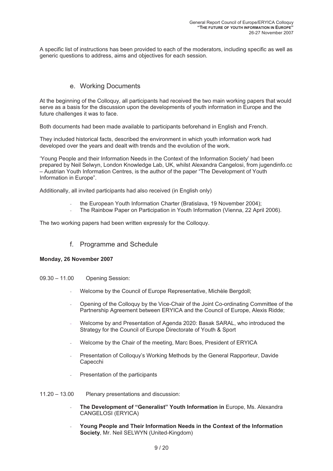A specific list of instructions has been provided to each of the moderators, including specific as well as generic questions to address, aims and objectives for each session.

## e. Working Documents

At the beginning of the Colloquy, all participants had received the two main working papers that would serve as a basis for the discussion upon the developments of youth information in Europe and the future challenges it w

Both documents had been made available to participants beforehand in English and French.

They included historical facts, described the environment in which youth information work had developed over the years and dealt with trends and the evolution of the work. 'Young People and their Information Needs in the Context of the Information Society' had been

prepared by Neil Selwyn, London Knowledge Lab, UK, whilst Alexandra Cangelosi, from jugendinfo.cc – Austrian Youth Information Centres, is the author of the paper "The Development of Youth Information in Europe".

Additionally, all invited participants had also received (in English only)

- the European Youth Information Charter (Bratislava, 19 November 2004);
- The Rainbow Paper on Participation in Youth Information (Vienna, 22 April 2006).

The two working papers had been written expressly for the Colloquy.

f. Programme and Schedule

### **Monday, 26 November 2007**

- 09.30 11.00 Opening Session:
	- Welcome by the Council of Europe Representative, Michèle Bergdoll;
	- Opening of the Colloquy by the Vice-Chair of the Joint Co-ordinating Committee of the Partnership Agreement between ERYICA and the Council of Europe, Alexis Ridde;
	- Welcome by and Presentation of Agenda 2020: Basak SARAL, who introduced the Strategy for the Council of Europe Directorate of Youth & Sport
	- Welcome by the Chair of the meeting, Marc Boes, President of ERYICA
	- Presentation of Colloquy's Working Methods by the General Rapporteur, Davide Capecchi
	- Presentation of the participants
- 11.20 13.00 Plenary presentations and discussion:
	- The Development of "Generalist" Youth Information in Europe, Ms. Alexandra CANGELOSI (ERYICA)
	- Young People and Their Information Needs in the Context of the Information Society, Mr. Neil SELWYN (United-Kingdom)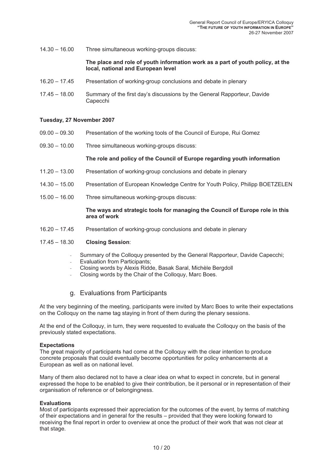14.30 – 16.00 Three simultaneous working-groups discuss:

# **The place and role of youth information work as a part of youth policy, at the local, national and European level**

- 16.20 17.45 Presentation of working-group conclusions and debate in plenary
- 17.45 18.00 Summary of the first day's discussions by the General Rapporteur, Davide Capecchi

### **Tuesday, 27 November 2007**

- 09.00 09.30 Presentation of the working tools of the Council of Europe, Rui Gomez
- 09.30 10.00 Three simultaneous working-groups discuss:

### **The role and policy of the Council of Europe regarding youth information**

- 11.20 13.00 Presentation of working-group conclusions and debate in plenary
- 14.30 15.00 Presentation of European Knowledge Centre for Youth Policy, Philipp BOETZELEN
- 15.00 16.00 Three simultaneous working-groups discuss:

# **The ways and strategic tools for managing the Council of Europe role in this area of work**

16.20 – 17.45 Presentation of working-group conclusions and debate in plenary

### 17.45 – 18.30 **Closing Session**:

- Summary of the Colloquy presented by the General Rapporteur, Davide Capecchi;
- Evaluation from Participants:
- Closing words by Alexis Ridde, Basak Saral, Michèle Bergdoll
- Closing words by the Chair of the Colloguy, Marc Boes.

### g. Evaluations from Participants

At the very beginning of the meeting, participants were invited by Marc Boes to write their expectations on the Colloquy on the name tag staying in front of them during the plenary sessions.

At the end of the Colloquy, in turn, they were requested to evaluate the Colloquy on the basis of the previously stated expectations.

### **Expectations**

The great majority of participants had come at the Colloquy with the clear intention to produce concrete proposals that could eventually become opportunities for policy enhancements at a European as well as on national level.

Many of them also declared not to have a clear idea on what to expect in concrete, but in general expressed the hope to be enabled to give their contribution, be it personal or in representation of their organisation of re

### **Evaluations**

Most of participants expressed their appreciation for the outcomes of the event, by terms of matching of their expectations and in general for the results – provided that they were looking forward to receiving the final report in order to overview at once the product of their work that was not clear at that stage.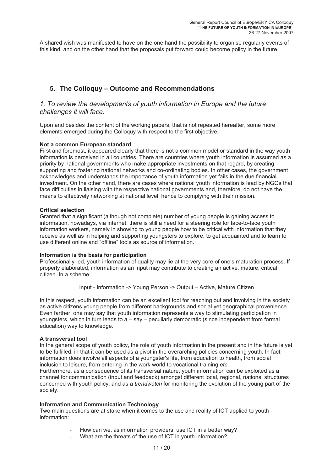A shared wish was manifested to have on the one hand the possibility to organise regularly events of this kind, and on the other hand that the proposals put forward could become policy in the future.

# **5. The Colloquy – Outcome and Recommendations**

# *1. To review the developments of youth information in Europe and the future challenges it will face.*

Upon and besides the content of the working papers, that is not repeated hereafter, some more elements emerged during the Colloquy with respect to the first objective.

Not a common European standard<br>First and foremost, it appeared clearly that there is not a common model or standard in the way youth<br>information is perceived in all countries. There are countries where youth information is priority by national governments who make appropriate investments on that regard, by creating, supporting and fostering national networks and co-ordinating bodies. In other cases, the government acknowledges and understands the importance of youth information yet fails in the due financial investment. On the other h face difficulties in liaising with the respective national governments and, therefore, do not have the means to effectively networking at national level, hence to complying with their mission.

**Critical selection**<br>Granted that a significant (although not complete) number of young people is gaining access to information, nowadays, via internet, there is still a need for a steering role for face-to-face youth information workers, namely in showing to young people how to be critical with information that they receive as well as in helping and supporting youngsters to explore, to get acquainted and to learn to use different online and "offline" tools as source of information.

### **Information is the basis for participation**

Professionally-led, youth information of quality may lie at the very core of one's maturation process. If properly elaborated, information as an input may contribute to creating an active, mature, critical citizen. In a scheme:

Input - Information -> Young Person -> Output – Active, Mature Citizen

In this respect, youth information can be an excellent tool for reaching out and involving in the society as active citizens young people from different backgrounds and social yet geographical provenience. Even farther, one may say that youth information represents a way to stimulating participation in youngsters, which in turn leads to a – say – peculiarly democratic (since independent from formal education) way to knowledge.

A transversal tool<br>In the general scope of youth policy, the role of youth information in the present and in the future is yet<br>to be fulfilled, in that it can be used as a pivot in the overarching policies concerning youth

Furthermore, as a consequence of its transversal nature, youth information can be exploited as a channel for communication (input and feedback) amongst different local, regional, national structures concerned with youth policy, and as a *trendwatch* for monitoring the evolution of the young part of the society.

### **Information and Communication Technology**

Two main questions are at stake when it comes to the use and reality of ICT applied to youth information:

- How can we, as information providers, use ICT in a better way?
- What are the threats of the use of ICT in youth information?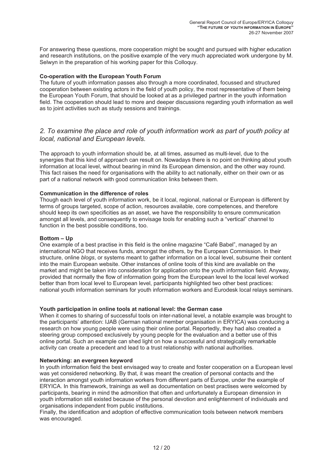For answering these questions, more cooperation might be sought and pursued with higher education and research institutions, on the positive example of the very much appreciated work undergone by M.<br>Selwyn in the preparati

**Co-operation with the European Youth Forum**<br>The future of youth information passes also through a more coordinated, focussed and structured<br>cooperation between existing actors in the field of youth policy, the most repres field. The cooperation should lead to more and deeper discussions regarding youth information as well as to joint activities such as study sessions and trainings.

# *2. To examine the place and role of youth information work as part of youth policy at local, national and European levels.*

The approach to youth information should be, at all times, assumed as multi-level, due to the synergies that this kind of approach can result on. Nowadays there is no point on thinking about youth information at local level, without bearing in mind its European dimension, and the other way round. This fact raises the need for organisations with the ability to act nationally, either on their own or as part of a national network with good communication links between them.

**Communication in the difference of roles**<br>Though each level of youth information work, be it local, regional, national or European is different by<br>terms of groups targeted, scope of action, resources available, core compe should keep its own specificities as an asset, we have the responsibility to ensure communication amongst all levels, and consequently to envisage tools for enabling such a "vertical" channel to function in the best possib

**Bottom – Up**<br>One example of a best practise in this field is the online magazine "Café Babel", managed by an international NGO that receives funds, amongst the others, by the European Commission. In their structure, online *blogs*, or systems meant to gather information on a local level, subsume their content into the main Europe better than from local level to European level, participants highlighted two other best practices: national youth information seminars for youth information workers and Eurodesk local relays seminars.

**Youth participation in online tools at national level: the German case** When it comes to sharing of successful tools on inter-national level, a notable example was brought to the participants' attention: IJAB (German national member organisation in ERYICA) was conducing a research on how young people were using their online portal. Reportedly, they had also created a steering group composed exclusively by young people for the evaluation and a better use of this online portal. Such an example can shed light on how a successful and strategically remarkable activity can create a precedent and lead to a trust relationship with national authorities.

**Networking: an evergreen keyword**<br>In youth information field the best envisaged way to create and foster cooperation on a European level<br>was yet considered networking. By that, it was meant the creation of personal contac ERYICA. In this framework, trainings as well as documentation on best practises were welcomed by participants, bearing in mind the admonition that often and unfortunately a European dimension in youth information still existed because of the personal devotion and enlightenment of individuals and organisations independent from public institutions.

Finally, the identification and adoption of effective communication tools between network members was encouraged.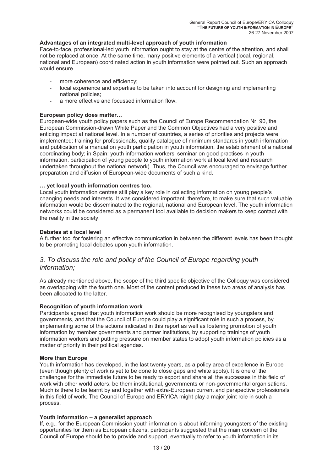### **Advantages of an integrated multi-level approach of youth information**

Face-to-face, professional-led youth information ought to stay at the centre of the attention, and shall not be replaced at once. At the same time, many positive elements of a vertical (local, regional, national and European) coordinated action in youth information were pointed out. Such an approach would ensure

- more coherence and efficiency;
- local experience and expertise to be taken into account for designing and implementing national policies;
- a more effective and focussed information flow.

**European policy does matter...**<br>European-wide youth policy papers such as the Council of Europe Recommendation Nr. 90, the<br>European Commission-drawn White Paper and the Common Objectives had a very positive and<br>enticing i coordinating body; in Spain: youth information workers' seminar on good practises in youth information, participation of young people to youth information work at local level and research undertaken throughout the national network). Thus, the Council was encouraged to envisage further preparation and diffusion of European-wide documents of such a kind.

... yet local youth information centres too.<br>Local youth information centres still play a key role in collecting information on young people's<br>changing needs and interests. It was considered important, therefore, to make s information would be disseminated to the regional, national and European level. The youth information networks could be considered as a permanent tool available to decision makers to keep contact with the reality in the so

### **Debates at a local level**

A further tool for fostering an effective communication in between the different levels has been thought to be promoting local debates upon youth information.

# *3. To discuss the role and policy of the Council of Europe regarding youth information;*

As already mentioned above, the scope of the third specific objective of the Colloquy was considered as overlapping with the fourth one. Most of the content produced in these two areas of analysis has been allocated to the latter.

**Recognition of youth information work**<br>Participants agreed that youth information work should be more recognised by youngsters and<br>governments, and that the Council of Europe could play a significant role in such a proces matter of priority in their political agendas.

**More than Europe**<br>Youth information has developed, in the last twenty years, as a policy area of excellence in Europe (even though plenty of work is yet to be done to close gaps and white spots). It is one of the challenges for the immediate future to be ready to export and share all the successes in this field of work with other world actors, be them institutional, governments or non-governmental organisations.<br>Much is there to be learnt by and together with extra-European current and perspective professionals<br>in this field of work

### **Youth information – a generalist approach**

If, e.g., for the European Commission youth information is about informing youngsters of the existing opportunities for them as European citizens, participants suggested that the main concern of the Council of Europe shoul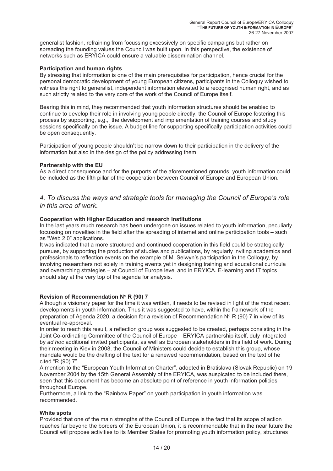generalist fashion, refraining from focussing excessively on specific campaigns but rather on spreading the founding values the Council was built upon. In this perspective, the existence of networks such as ERYICA could ensure a valuable dissemination channel.

### **Participation and human rights**

By stressing that information is one of the main prerequisites for participation, hence crucial for the personal democratic development of young European citizens, participants in the Colloquy wished to witness the right to generalist, independent information elevated to a recognised human right, and as such strictly related to the very core of the work of the Council of Europe itself.

Bearing this in mind, they recommended that youth information structures should be enabled to continue to develop their role in involving young people directly, the Council of Europe fostering this process by supporting, e.g., the development and implementation of training courses and study sessions specifically on the issue. A budget line for supporting specifically participation activities could be open consequently.

Participation of young people shouldn't be narrow down to their participation in the delivery of the information but also in the design of the policy addressing them.

Partnership with the EU<br>As a direct consequence and for the purports of the aforementioned grounds, youth information could<br>be included as the fifth pillar of the cooperation between Council of Europe and European Union.

# *4. To discuss the ways and strategic tools for managing the Council of Europe's role in this area of work.*

**Cooperation with Higher Education and research Institutions**<br>In the last years much research has been undergone on issues related to youth information, peculiarly<br>focussing on novelties in the field after the spreading of as "Web 2.0" applications.

It was indicated that a more structured and continued cooperation in this field could be strategically pursues, by supporting the production of studies and publications, by regularly inviting academics and professionals to reflection events on the example of M. Selwyn's participation in the Colloquy, by involving researchers not solely in training events yet in designing training and educational curricula and overarching strategies – at Council of Europe level and in ERYICA. E-learning and IT topics should stay at the very top of the agenda for analysis.

**Revision of Recommendation N°** R (90) 7<br>Although a visionary paper for the time it was written, it needs to be revised in light of the most recent developments in youth information. Thus it was suggested to have, within the framework of the preparation of Agenda 2020, a decision for a revision of Recommendation  $N^{\circ}$  R (90) 7 in view of its eventual re-approval.

In order to reach this result, a reflection group was suggested to be created, perhaps consisting in the Joint Co-ordinating Committee of the Council of Europe – ERYICA partnership itself, duly integrated by ad hoc additio mandate would be the drafting of the text for a renewed recommendation, based on the text of he cited "R (90) 7".

A mention to the "European Youth Information Charter", adopted in Bratislava (Slovak Republic) on 19 November 2004 by the 15th General Assembly of the ERYICA, was auspicated to be included there, seen that this document has become an absolute point of reference in youth information policies throughout Europe.

Furthermore, a link to the "Rainbow Paper" on youth participation in youth information was recommended.

White spots<br>Provided that one of the main strengths of the Council of Europe is the fact that its scope of action reaches far beyond the borders of the European Union, it is recommendable that in the near future the<br>Council will propose activities to its Member States for promoting youth information policy, structures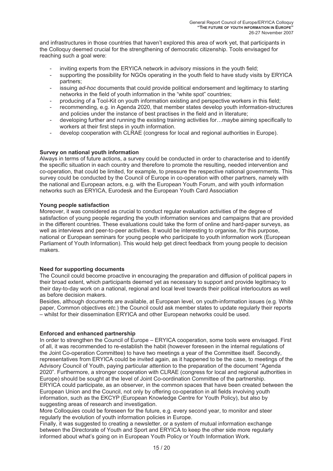and infrastructures in those countries that haven't explored this area of work yet, that participants in the Colloquy deemed crucial for the strengthening of democratic citizenship. Tools envisaged for reaching such a goal

- inviting experts from the ERYICA network in advisory missions in the youth field;
- supporting the possibility for NGOs operating in the youth field to have study visits by ERYICA partners:
- issuing *ad-hoc* documents that could provide political endorsement and legitimacy to starting networks in the field of youth information in the "white spot" countries;
- producing of a Tool-Kit on youth information existing and perspective workers in this field;
- recommending, e.g. in Agenda 2020, that member states develop youth information-structures and policies under the instance of best practises in the field and in literature;
- developing further and running the existing training activities for…maybe aiming specifically to workers at their first steps in youth information.
- develop cooperation with CLRAE (congress for local and regional authorities in Europe).

**Survey on national youth information**<br>Always in terms of future actions, a survey could be conducted in order to characterise and to identify the specific situation in each country and therefore to promote the resulting, needed intervention and co-operation, that could be limited, for example, to pressure the respective national governments. This survey could be

**Young people satisfaction**<br>Moreover, it was considered as crucial to conduct regular evaluation activities of the degree of satisfaction of young people regarding the youth information services and campaigns that are provided<br>in the different countries. These evaluations could take the form of online and hard-paper surveys, as<br>well as interview national or European seminars for young people who participate to youth information work (European Parliament of Youth Information). This would help get direct feedback from young people to decision makers.

### **Need for supporting documents**

The Council could become proactive in encouraging the preparation and diffusion of political papers in their broad extent, which participants deemed yet as necessary to support and provide legitimacy to their day-to-day work on a national, regional and local level towards their political interlocutors as well as before decision makers.

Besides, although documents are available, at European level, on youth-information issues (e.g. White paper, Common objectives *etc.*) the Council could ask member states to update regularly their reports – whilst for their dissemination ERYICA and other European networks could be used.

### **Enforced and enhanced partnership**

In order to strengthen the Council of Europe – ERYICA cooperation, some tools were envisaged. First of all, it was recommended to re-establish the habit (however foreseen in the internal regulations of<br>the Joint Co-operation Committee) to have two meetings a year of the Committee itself. Secondly,<br>representatives from ER ERYICA could participate, as an observer, in the common spaces that have been created between the European Union and the Council, not only by offering co-operation in all fields involving youth information, such as the EKC suggesting areas of research and investigation.

More Colloquies could be foreseen for the future, e.g. every second year, to monitor and steer regularly the evolution of youth information policies in Europe.

Finally, it was suggested to creating a newsletter, or a system of mutual information exchange between the Directorate of Youth and Sport and ERYICA to keep the other side more regularly informed about what's going on in European Youth Policy or Youth Information Work.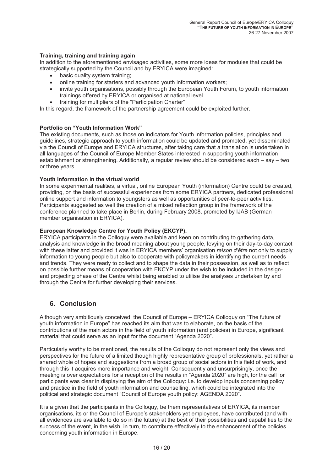### **Training, training and training again**

In addition to the aforementioned envisaged activities, some more ideas for modules that could be strategically supported by the Council and by ERYICA were imagined:

- basic quality system training:
- online training for starters and advanced youth information workers;
- invite youth organisations, possibly through the European Youth Forum, to youth information trainings offered by ERYICA or organised at national level.
- training for multipliers of the "Participation Charter"

In this regard, the framework of the partnership agreement could be exploited further.

**Portfolio on "Youth Information Work"**<br>The existing documents, such as those on indicators for Youth information policies, principles and<br>guidelines, strategic approach to youth information could be updated and promoted, all languages of the Council of Europe Member States interested in supporting youth information establishment or strengthening. Additionally, a regular review should be considered each – say – two or three years.

### **Youth information in the virtual world**

In some experimental realities, a virtual, online European Youth (information) Centre could be created, providing, on the basis of successful experiences from some ERYICA partners, dedicated professional online support and information to youngsters as well as opportunities of peer-to-peer activities. Participants suggested as well the creation of a mixed reflection group in the framework of the conference planned to take place in Berlin, during February 2008, promoted by IJAB (German member organisation in ERYICA).

### **European Knowledge Centre for Youth Policy (EKCYP).**

ERYICA participants in the Colloquy were available and keen on contributing to gathering data, analysis and knowledge in the broad meaning about young people, levying on their day-to-day contact<br>with these latter and provided it was in ERYICA members' organisation *raison d'être* not only to supply<br>information to yo on possible further means of cooperation with EKCYP under the wish to be included in the designand projecting phase of the Centre whilst being enabled to utilise the analyses undertaken by and through the Centre for further developing their services.

# **6. Conclusion**

Although very ambitiously conceived, the Council of Europe – ERYICA Colloquy on "The future of<br>youth information in Europe" has reached its aim that was to elaborate, on the basis of the<br>contributions of the main actors in material that could serve as an input for the document "Agenda 2020".

Particularly worthy to be mentioned, the results of the Colloquy do not represent only the views and perspectives for the future of a limited though highly representative group of professionals, yet rather a shared whole of hopes and suggestions from a broad group of social actors in this field of work, and<br>through this it acquires more importance and weight. Consequently and unsurprisingly, once the<br>meeting is over expectatio

It is a given that the participants in the Colloquy, be them representatives of ERYICA, its member organisations, its or the Council of Europe's stakeholders yet employees, have contributed (and with all evidences are available to do so in the future) at the best of their possibilities and capabilities to the success of the event, in the wish, in turn, to contribute effectively to the enhancement of the policies concer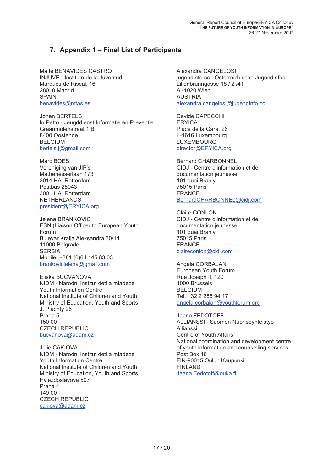# **7. Appendix 1 – Final List of Participants**

Maite BENAVIDES CASTRO INJUVE - Instituto de la Juventud Marques de Riscal, 16 28010 Madrid SPAIN benavides@mtas.es

Johan BERTELS In Petto - Jeugddienst Informatie en Preventie Graanmolenstraat 1 B 8400 Oostende BELGIUM bertels.j@gmail.com

Marc BOES Vereniging van JIP's Mathenesserlaan 173 3014 HA Rotterdam Postbus 25043 3001 HA Rotterdam NETHERLANDS president@ERYICA.org

Jelena BRANKOVIC ESN (Liaison Officer to European Youth Forum) Bulevar Kralja Aleksandra 30/14 11000 Belgrade **SERBIA** Mobile: +381.(0)64.145.83.03 brankovicjelena@gmail.com

Eliska BUCVANOVA NIDM - Narodni Institut deti a mládeze Youth Information Centre National Institute of Children and Youth Ministry of Education, Youth and Sports J. Plachty 26 Praha 5 150 00 CZECH REPUBLIC bucvanova@adam.cz

Julie CAKIOVA NIDM - Narodni Institut deti a mládeze Youth Information Centre National Institute of Children and Youth Ministry of Education, Youth and Sports Hviezdoslavova 507 Praha 4 149 00<br>CZECH REPUBLIC cakiova@adam.cz

Alexandra CANGELOSI jugendinfo.cc - Österreichische Jugendinfos Lilienbrunngasse 18 / 2 /41 A -1020 Wien AUSTRIA alexandra.cangelosi@jugendinfo.cc

Davide CAPECCHI **ERYICA** Place de la Gare, 26 L-1616 Luxembourg LUXEMBOURG director@ERYICA.org

Bernard CHARBONNEL CIDJ - Centre d'information et de documentation jeunesse 101 quai Branly 75015 Paris FRANCE BernardCHARBONNEL@cidj.com

Claire CONLON CIDJ - Centre d'information et de documentation jeunesse 101 quai Branly 75015 Paris FRANCE claireconlon@cidj.com

Angela CORBALAN European Youth Forum Rue Joseph II, 120 1000 Brussels BELGIUM Tel. +32 2 286 94 17<br>angela.corbalan@youthforum.org

Jaana FEDOTOFF ALLIANSSI - Suomen Nuorisoyhteistyö Allianssi Centre of Youth Affairs National coordination and development centre of youth information and counselling services Post Box 16 FIN-90015 Oulun Kaupunki FINLAND Jaana.Fedotoff@ouka.fi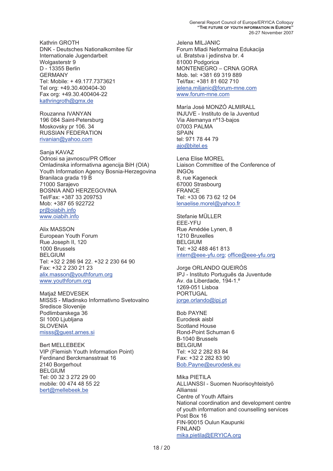Kathrin GROTH DNK - Deutsches Nationalkomitee für Internationale Jugendarbeit Wolgasterstr 9 D - 13355 Berlin GERMANY Tel: Mobile: + 49.177.7373621 Tel org: +49.30.400404-30 Fax org: +49.30.400404-22 kathringroth@gmx.de

Rouzanna IVANYAN 196 084 Saint-Petersburg Moskovsky pr 106. 34 RUSSIAN FEDERATION rivanian@yahoo.com

Sanja KAVAZ Odnosi sa javnoscu/PR Officer Omladinska informativna agencija BiH (OIA) Youth Information Agency Bosnia-Herzegovina Branilaca grada 19 B 71000 Sarajevo BOSNIA AND HERZEGOVINA Tel/Fax: +387 33 209753 Mob: +387 65 922722 pr@oiabih.info

www.oiabih.info

Alix MASSON European Youth Forum Rue Joseph II, 120 1000 Brussels BELGIUM Tel: +32 2 286 94 22. +32 2 230 64 90 Fax: +32 2 230 21 23 alix.masson@youthforum.org www.youthforum.org

Matiaž MEDVESEK MISSS - Mladinsko Informativno Svetovalno Sredisce Slovenije Podlimbarskega 36 SI 1000 Ljubljana **SLOVENIA** misss@guest.arnes.si

Bert MELLEBEEK VIP (Flemish Youth Information Point) Ferdinand Berckmansstraat 16 2140 Borgerhout BELGIUM Tel: 00 32 3 272 29 00 mobile: 00 474 48 55 22 bert@mellebeek.be

Jelena MILJANIC Forum Mladi Neformalna Edukacija ul. Bratstva i jedinstva br. 4 81000 Podgorica MONTENEGRO – CRNA GORA Mob. tel: +381 69 319 889 Tel/fax: +381 81 602 710 jelena.miljanic@forum-mne.com www.forum-mne.com

María José MONZÓ ALMIRALL INJUVE - Instituto de la Juventud Via Alemanya nº13-bajos 07003 PALMA **SPAIN** tel: 971 78 44 79 ajo@bitel.es

Lena Elise MOREL Liaison Committee of the Conference of INGOs 8, rue Kageneck 67000 Strasbourg FRANCE Tel: +33 06 73 62 12 04 lenaelise.morel@yahoo.fr

Stefanie MÜLLER EEE-YFU Rue Amédée Lynen, 8 1210 Bruxelles BELGIUM Tel: +32 488 461 813 intern@eee-yfu.org; office@eee-yfu.org

Jorge ORLANDO QUEIRÓS IPJ - Instituto Português da Juventude Av. da Liberdade, 194-1.º 1269-051 Lisboa PORTUGAL jorge.orlando@ipj.pt

Bob PAYNE Eurodesk aisbl Scotland House Rond-Point Schuman 6 B-1040 Brussels BELGIUM Tel: +32 2 282 83 84 Fax: +32 2 282 83 90 Bob.Payne@eurodesk.eu

Mika PIETILA ALLIANSSI - Suomen Nuorisoyhteistyö Allianssi Centre of Youth Affairs National coordination and development centre of youth information and counselling services Post Box 16 FIN-90015 Oulun Kaupunki FINLAND mika.pietila@ERYICA.org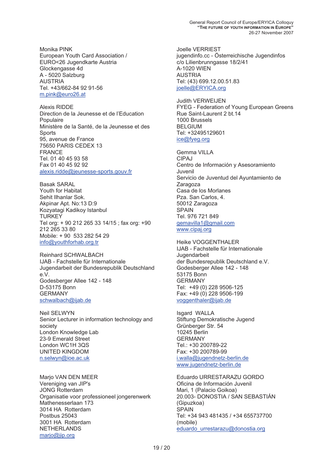Monika PINK European Youth Card Association / EURO<26 Jugendkarte Austria Glockengasse 4d A - 5020 Salzburg AUSTRIA Tel. +43/662-84 92 91-56 m.pink@euro26.at

Alexis RIDDE Direction de la Jeunesse et de l'Education Populaire Ministère de la Santé, de la Jeunesse et des Sports 95, avenue de France 75650 PARIS CEDEX 13 FRANCE Tel. 01 40 45 93 58 Fax 01 40 45 92 92 alexis.ridde@jeunesse-sports.gouv.fr

Basak SARAL Youth for Habitat Sehit Ilhanlar Sok.<br>Akpinar Apt. No:13 D:9<br>Kozyatagi Kadikoy Istanbul **TURKEY** Tel org: + 90 212 265 33 14/15 ; fax org: +90 212 265 33 80 Mobile: + 90 533 282 54 29 info@youthforhab.org.tr

Reinhard SCHWAI BACH IJAB - Fachstelle für Internationale Jugendarbeit der Bundesrepublik Deutschland e.V. Godesberger Allee 142 - 148 D-53175 Bonn GERMANY schwalbach@ijab.de

Neil SELWYN Senior Lecturer in information technology and society London Knowledge Lab 23-9 Emerald Street London WC1H 3QS UNITED KINGDOM n.selwyn@ioe.ac.uk

Mario VAN DEN MEER Marjo VAN DEN ME<br>Vereniging van JIP's JONG Rotterdam Organisatie voor professioneel jongerenwerk Mathenesserlaan 173 3014 HA Rotterdam Postbus 25043 3001 HA Rotterdam NETHERLANDS marjo@jip.org

Joelle VERRIEST jugendinfo.cc - Österreichische Jugendinfos c/o Lilienbrunngasse 18/2/41 A-1020 WIEN AUSTRIA Tel: (43) 699.12.00.51.83 joelle@ERYICA.org

Judith VERWEIJEN FYEG - Federation of Young European Greens Rue Saint-Laurent 2 bt.14 1000 Brussels BELGIUM Tel: +32495129601 ice@fyeg.org

Gemma VILLA CIPAJ Centro de Información y Asesoramiento Juvenil Servicio de Juventud del Ayuntamiento de<br>Zaragoza Casa de los Morlanes Pza. San Carlos, 4. 50012 Zaragoza **SPAIN** Tel. 976 721 849 gemavilla1@gmail.com www.cipaj.org

Heike VOGGENTHALER IJAB - Fachstelle für Internationale Jugendarbeit der Bundesrepublik Deutschland e.V. Godesberger Allee 142 - 148 53175 Bonn GERMANY Tel: +49 (0) 228 9506-125 Fax: +49 (0) 228 9506-199 voggenthaler@ijab.de

Isgard WALLA Stiftung Demokratische Jugend Grünberger Str. 54 10245 Berlin GERMANY Tel.: +30 200789-22 Fax: +30 200789-99 i.walla@jugendnetz-berlin.de www.jugendnetz-berlin.de

Eduardo URRESTARAZU GORDO Oficina de Información Juvenil Mari, 1 (Palacio Goikoa) 20.003- DONOSTIA / SAN SEBASTIÁN (Gipuzkoa) SPAIN Tel: +34 943 481435 / +34 655737700 (mobile) eduardo urrestarazu@donostia.org